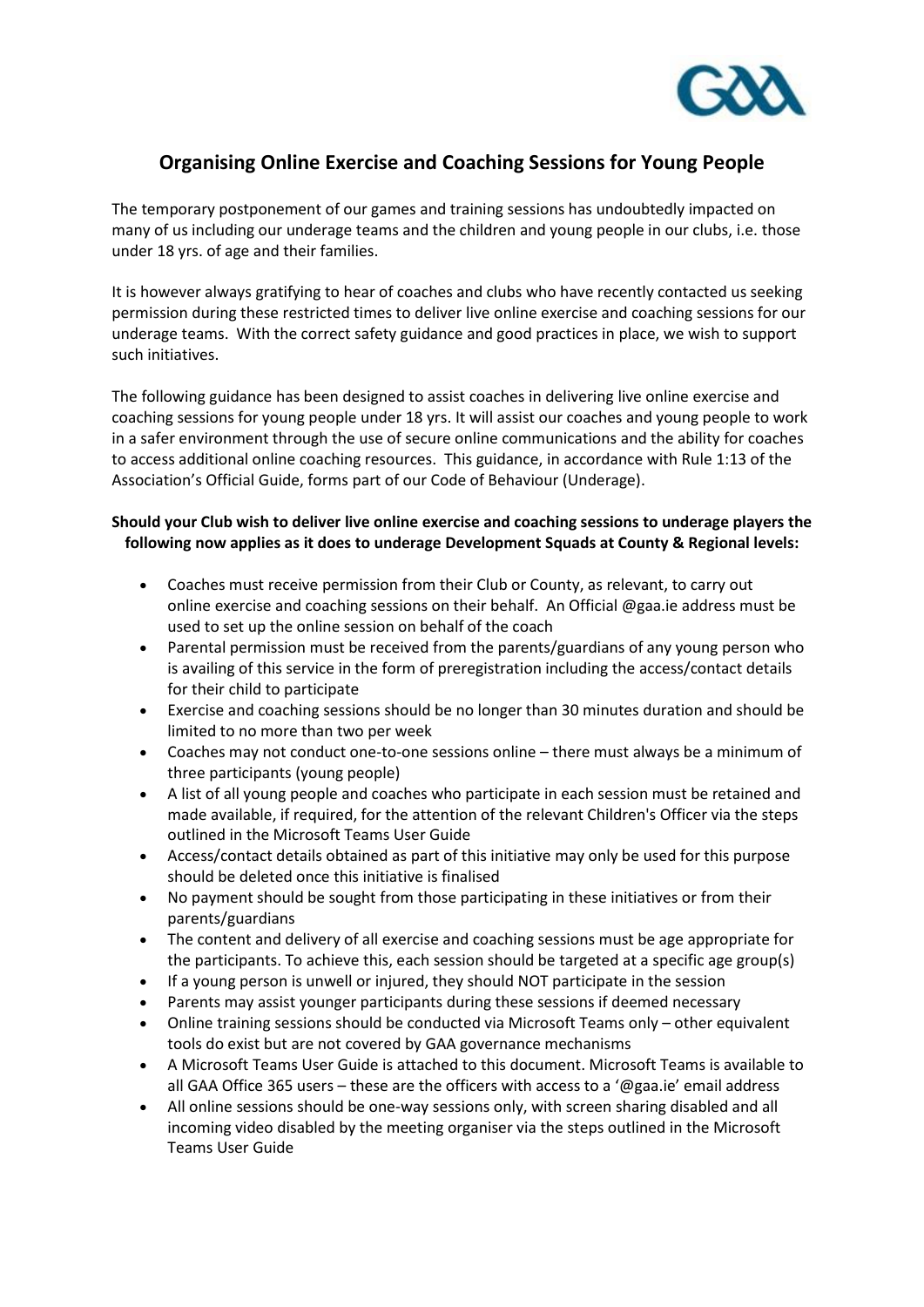

## **Organising Online Exercise and Coaching Sessions for Young People**

The temporary postponement of our games and training sessions has undoubtedly impacted on many of us including our underage teams and the children and young people in our clubs, i.e. those under 18 yrs. of age and their families.

It is however always gratifying to hear of coaches and clubs who have recently contacted us seeking permission during these restricted times to deliver live online exercise and coaching sessions for our underage teams. With the correct safety guidance and good practices in place, we wish to support such initiatives.

The following guidance has been designed to assist coaches in delivering live online exercise and coaching sessions for young people under 18 yrs. It will assist our coaches and young people to work in a safer environment through the use of secure online communications and the ability for coaches to access additional online coaching resources. This guidance, in accordance with Rule 1:13 of the Association's Official Guide, forms part of our Code of Behaviour (Underage).

## **Should your Club wish to deliver live online exercise and coaching sessions to underage players the following now applies as it does to underage Development Squads at County & Regional levels:**

- Coaches must receive permission from their Club or County, as relevant, to carry out online exercise and coaching sessions on their behalf. An Official @gaa.ie address must be used to set up the online session on behalf of the coach
- Parental permission must be received from the parents/guardians of any young person who is availing of this service in the form of preregistration including the access/contact details for their child to participate
- Exercise and coaching sessions should be no longer than 30 minutes duration and should be limited to no more than two per week
- Coaches may not conduct one-to-one sessions online there must always be a minimum of three participants (young people)
- A list of all young people and coaches who participate in each session must be retained and made available, if required, for the attention of the relevant Children's Officer via the steps outlined in the Microsoft Teams User Guide
- Access/contact details obtained as part of this initiative may only be used for this purpose should be deleted once this initiative is finalised
- No payment should be sought from those participating in these initiatives or from their parents/guardians
- The content and delivery of all exercise and coaching sessions must be age appropriate for the participants. To achieve this, each session should be targeted at a specific age group(s)
- If a young person is unwell or injured, they should NOT participate in the session
- Parents may assist younger participants during these sessions if deemed necessary
- Online training sessions should be conducted via Microsoft Teams only other equivalent tools do exist but are not covered by GAA governance mechanisms
- A Microsoft Teams User Guide is attached to this document. Microsoft Teams is available to all GAA Office 365 users – these are the officers with access to a '@gaa.ie' email address
- All online sessions should be one-way sessions only, with screen sharing disabled and all incoming video disabled by the meeting organiser via the steps outlined in the Microsoft Teams User Guide